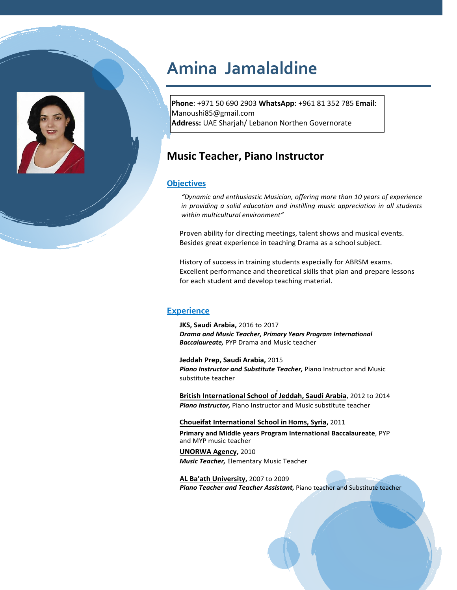

# **Amina Jamalaldine**

**Phone**: +971 50 690 2903 **WhatsApp**: +961 81 352 785 **Email**: Manoushi85@gmail.com **Address:** UAE Sharjah/ Lebanon Northen Governorate

## **Music Teacher, Piano Instructor**

#### **Objectives**

*"Dynamic and enthusiastic Musician, offering more than 10 years of experience in providing a solid education and instilling music appreciation in all students within multicultural environment"*

Proven ability for directing meetings, talent shows and musical events. Besides great experience in teaching Drama as a school subject.

History of success in training students especially for ABRSM exams. Excellent performance and theoretical skills that plan and prepare lessons for each student and develop teaching material.

### **Experience**

**JKS, Saudi Arabia,** 2016 to 2017 *Drama and Music Teacher, Primary Years Program International Baccalaureate,* PYP Drama and Music teacher

**Jeddah Prep, Saudi Arabia,** 2015 *Piano Instructor and Substitute Teacher,* Piano Instructor and Music substitute teacher

**British International School of Jeddah, Saudi Arabia**, 2012 to 2014 *Piano Instructor,* Piano Instructor and Music substitute teacher

**Choueifat International School in Homs, Syria,** 2011

**Primary and Middle years Program International Baccalaureate**, PYP and MYP music teacher

**UNORWA Agency,** 2010 *Music Teacher,* Elementary Music Teacher

**AL Ba'ath University,** 2007 to 2009 *Piano Teacher and Teacher Assistant,* Piano teacher and Substitute teacher